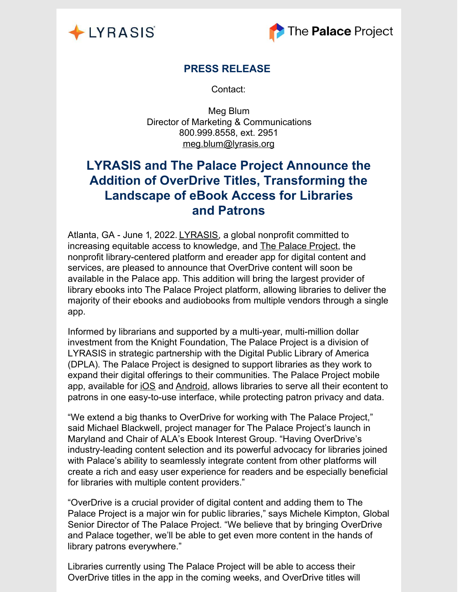



## **PRESS RELEASE**

Contact:

Meg Blum Director of Marketing & Communications 800.999.8558, ext. 2951 [meg.blum@lyrasis.org](mailto:meg.blum@lyrasis.org?subject=LYRASIS Press Release Inquiry)

# **LYRASIS and The Palace Project Announce the Addition of OverDrive Titles, Transforming the Landscape of eBook Access for Libraries and Patrons**

Atlanta, GA - June 1, 2022. [LYRASIS](http://lyrasis.org/), a global nonprofit committed to increasing equitable access to knowledge, and The [Palace](https://thepalaceproject.org/) Project, the nonprofit library-centered platform and ereader app for digital content and services, are pleased to announce that OverDrive content will soon be available in the Palace app. This addition will bring the largest provider of library ebooks into The Palace Project platform, allowing libraries to deliver the majority of their ebooks and audiobooks from multiple vendors through a single app.

Informed by librarians and supported by a multi-year, multi-million dollar investment from the Knight Foundation, The Palace Project is a division of LYRASIS in strategic partnership with the Digital Public Library of America (DPLA). The Palace Project is designed to support libraries as they work to expand their digital offerings to their communities. The Palace Project mobile app, available for [iOS](https://apps.apple.com/us/app/the-palace-project/id1574359693) and [Android](https://play.google.com/store/apps/details?id=org.thepalaceproject.palace), allows libraries to serve all their econtent to patrons in one easy-to-use interface, while protecting patron privacy and data.

"We extend a big thanks to OverDrive for working with The Palace Project," said Michael Blackwell, project manager for The Palace Project's launch in Maryland and Chair of ALA's Ebook Interest Group. "Having OverDrive's industry-leading content selection and its powerful advocacy for libraries joined with Palace's ability to seamlessly integrate content from other platforms will create a rich and easy user experience for readers and be especially beneficial for libraries with multiple content providers."

"OverDrive is a crucial provider of digital content and adding them to The Palace Project is a major win for public libraries," says Michele Kimpton, Global Senior Director of The Palace Project. "We believe that by bringing OverDrive and Palace together, we'll be able to get even more content in the hands of library patrons everywhere."

Libraries currently using The Palace Project will be able to access their OverDrive titles in the app in the coming weeks, and OverDrive titles will